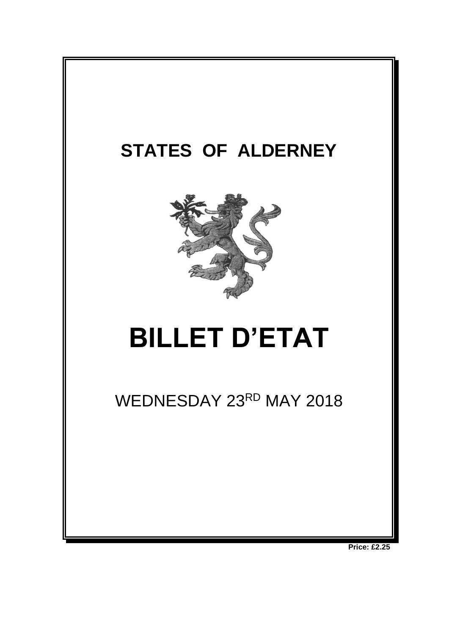

**Price: £2.25**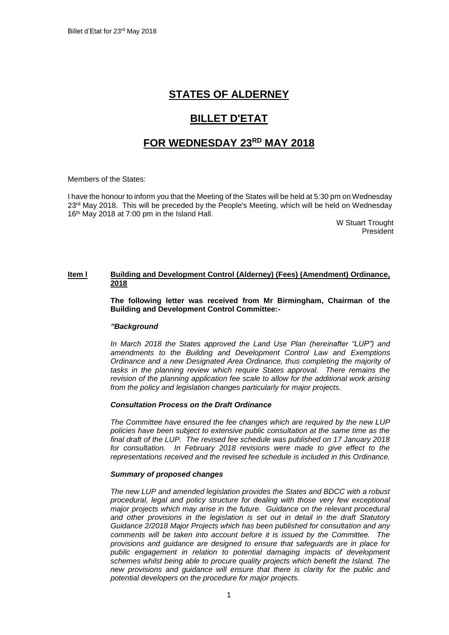# **STATES OF ALDERNEY**

# **BILLET D'ETAT**

# **FOR WEDNESDAY 23 RD MAY 2018**

Members of the States:

I have the honour to inform you that the Meeting of the States will be held at 5:30 pm on Wednesday 23<sup>rd</sup> May 2018. This will be preceded by the People's Meeting, which will be held on Wednesday 16th May 2018 at 7:00 pm in the Island Hall.

> W Stuart Trought President

# **Item l Building and Development Control (Alderney) (Fees) (Amendment) Ordinance, 2018**

**The following letter was received from Mr Birmingham, Chairman of the Building and Development Control Committee:-**

# *"Background*

*In March 2018 the States approved the Land Use Plan (hereinafter "LUP") and amendments to the Building and Development Control Law and Exemptions Ordinance and a new Designated Area Ordinance, thus completing the majority of*  tasks in the planning review which require States approval. There remains the *revision of the planning application fee scale to allow for the additional work arising from the policy and legislation changes particularly for major projects.* 

#### *Consultation Process on the Draft Ordinance*

*The Committee have ensured the fee changes which are required by the new LUP policies have been subject to extensive public consultation at the same time as the final draft of the LUP. The revised fee schedule was published on 17 January 2018 for consultation. In February 2018 revisions were made to give effect to the representations received and the revised fee schedule is included in this Ordinance.*

### *Summary of proposed changes*

*The new LUP and amended legislation provides the States and BDCC with a robust procedural, legal and policy structure for dealing with those very few exceptional major projects which may arise in the future. Guidance on the relevant procedural and other provisions in the legislation is set out in detail in the draft Statutory Guidance 2/2018 Major Projects which has been published for consultation and any comments will be taken into account before it is issued by the Committee. The provisions and guidance are designed to ensure that safeguards are in place for public engagement in relation to potential damaging impacts of development schemes whilst being able to procure quality projects which benefit the Island. The*  new provisions and quidance will ensure that there is clarity for the public and *potential developers on the procedure for major projects.*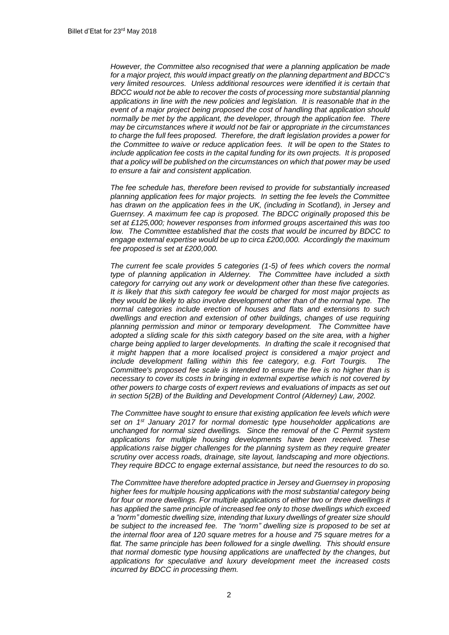*However, the Committee also recognised that were a planning application be made for a major project, this would impact greatly on the planning department and BDCC's very limited resources. Unless additional resources were identified it is certain that BDCC would not be able to recover the costs of processing more substantial planning applications in line with the new policies and legislation. It is reasonable that in the event of a major project being proposed the cost of handling that application should normally be met by the applicant, the developer, through the application fee. There may be circumstances where it would not be fair or appropriate in the circumstances to charge the full fees proposed. Therefore, the draft legislation provides a power for the Committee to waive or reduce application fees. It will be open to the States to include application fee costs in the capital funding for its own projects. It is proposed that a policy will be published on the circumstances on which that power may be used to ensure a fair and consistent application.* 

*The fee schedule has, therefore been revised to provide for substantially increased planning application fees for major projects. In setting the fee levels the Committee has drawn on the application fees in the UK, (including in Scotland), in Jersey and Guernsey. A maximum fee cap is proposed. The BDCC originally proposed this be set at £125,000; however responses from informed groups ascertained this was too low. The Committee established that the costs that would be incurred by BDCC to engage external expertise would be up to circa £200,000. Accordingly the maximum fee proposed is set at £200,000.* 

*The current fee scale provides 5 categories (1-5) of fees which covers the normal type of planning application in Alderney. The Committee have included a sixth category for carrying out any work or development other than these five categories. It is likely that this sixth category fee would be charged for most major projects as they would be likely to also involve development other than of the normal type. The normal categories include erection of houses and flats and extensions to such dwellings and erection and extension of other buildings, changes of use requiring planning permission and minor or temporary development. The Committee have adopted a sliding scale for this sixth category based on the site area, with a higher charge being applied to larger developments. In drafting the scale it recognised that it might happen that a more localised project is considered a major project and include development falling within this fee category, e.g. Fort Tourgis. The Committee's proposed fee scale is intended to ensure the fee is no higher than is necessary to cover its costs in bringing in external expertise which is not covered by other powers to charge costs of expert reviews and evaluations of impacts as set out*  in section 5(2B) of the Building and Development Control (Alderney) Law, 2002.

*The Committee have sought to ensure that existing application fee levels which were set on 1st January 2017 for normal domestic type householder applications are unchanged for normal sized dwellings. Since the removal of the C Permit system applications for multiple housing developments have been received. These applications raise bigger challenges for the planning system as they require greater scrutiny over access roads, drainage, site layout, landscaping and more objections. They require BDCC to engage external assistance, but need the resources to do so.* 

*The Committee have therefore adopted practice in Jersey and Guernsey in proposing higher fees for multiple housing applications with the most substantial category being*  for four or more dwellings. For multiple applications of either two or three dwellings it *has applied the same principle of increased fee only to those dwellings which exceed a "norm" domestic dwelling size, intending that luxury dwellings of greater size should be subject to the increased fee. The "norm" dwelling size is proposed to be set at the internal floor area of 120 square metres for a house and 75 square metres for a flat. The same principle has been followed for a single dwelling. This should ensure that normal domestic type housing applications are unaffected by the changes, but applications for speculative and luxury development meet the increased costs incurred by BDCC in processing them.*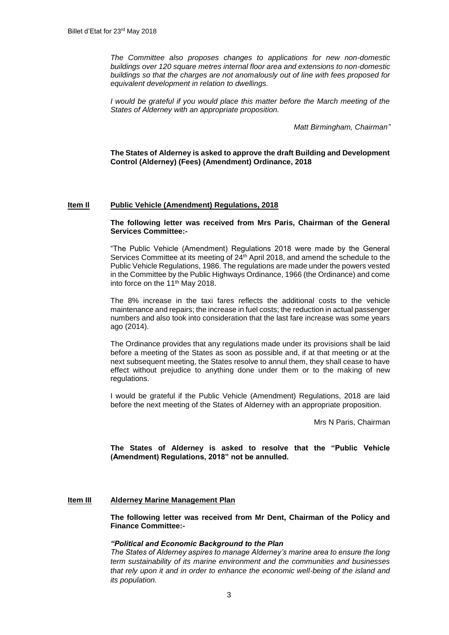*The Committee also proposes changes to applications for new non-domestic buildings over 120 square metres internal floor area and extensions to non-domestic buildings so that the charges are not anomalously out of line with fees proposed for equivalent development in relation to dwellings.* 

*I* would be grateful if you would place this matter before the March meeting of the *States of Alderney with an appropriate proposition.*

*Matt Birmingham, Chairman"*

**The States of Alderney is asked to approve the draft Building and Development Control (Alderney) (Fees) (Amendment) Ordinance, 2018** 

### **Item Il Public Vehicle (Amendment) Regulations, 2018**

**The following letter was received from Mrs Paris, Chairman of the General Services Committee:-**

"The Public Vehicle (Amendment) Regulations 2018 were made by the General Services Committee at its meeting of 24th April 2018, and amend the schedule to the Public Vehicle Regulations, 1986. The regulations are made under the powers vested in the Committee by the Public Highways Ordinance, 1966 (the Ordinance) and come into force on the 11th May 2018.

The 8% increase in the taxi fares reflects the additional costs to the vehicle maintenance and repairs; the increase in fuel costs; the reduction in actual passenger numbers and also took into consideration that the last fare increase was some years ago (2014).

The Ordinance provides that any regulations made under its provisions shall be laid before a meeting of the States as soon as possible and, if at that meeting or at the next subsequent meeting, the States resolve to annul them, they shall cease to have effect without prejudice to anything done under them or to the making of new regulations.

I would be grateful if the Public Vehicle (Amendment) Regulations, 2018 are laid before the next meeting of the States of Alderney with an appropriate proposition.

Mrs N Paris, Chairman

**The States of Alderney is asked to resolve that the "Public Vehicle (Amendment) Regulations, 2018" not be annulled.**

#### **Item III Alderney Marine Management Plan**

**The following letter was received from Mr Dent, Chairman of the Policy and Finance Committee:-**

#### *"Political and Economic Background to the Plan*

*The States of Alderney aspires to manage Alderney's marine area to ensure the long term sustainability of its marine environment and the communities and businesses that rely upon it and in order to enhance the economic well-being of the island and its population.*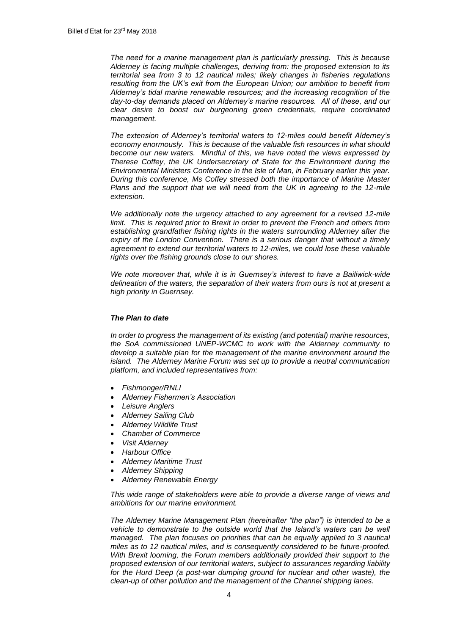*The need for a marine management plan is particularly pressing. This is because Alderney is facing multiple challenges, deriving from: the proposed extension to its territorial sea from 3 to 12 nautical miles; likely changes in fisheries regulations resulting from the UK's exit from the European Union; our ambition to benefit from Alderney's tidal marine renewable resources; and the increasing recognition of the day-to-day demands placed on Alderney's marine resources. All of these, and our clear desire to boost our burgeoning green credentials, require coordinated management.* 

*The extension of Alderney's territorial waters to 12-miles could benefit Alderney's economy enormously. This is because of the valuable fish resources in what should become our new waters. Mindful of this, we have noted the views expressed by Therese Coffey, the UK Undersecretary of State for the Environment during the Environmental Ministers Conference in the Isle of Man, in February earlier this year. During this conference, Ms Coffey stressed both the importance of Marine Master Plans and the support that we will need from the UK in agreeing to the 12-mile extension.* 

*We additionally note the urgency attached to any agreement for a revised 12-mile limit. This is required prior to Brexit in order to prevent the French and others from establishing grandfather fishing rights in the waters surrounding Alderney after the expiry of the London Convention. There is a serious danger that without a timely agreement to extend our territorial waters to 12-miles, we could lose these valuable rights over the fishing grounds close to our shores.*

*We note moreover that, while it is in Guernsey's interest to have a Bailiwick-wide delineation of the waters, the separation of their waters from ours is not at present a high priority in Guernsey.*

### *The Plan to date*

*In order to progress the management of its existing (and potential) marine resources, the SoA commissioned UNEP-WCMC to work with the Alderney community to develop a suitable plan for the management of the marine environment around the island. The Alderney Marine Forum was set up to provide a neutral communication platform, and included representatives from:*

- *Fishmonger/RNLI*
- *Alderney Fishermen's Association*
- *Leisure Anglers*
- *Alderney Sailing Club*
- *Alderney Wildlife Trust*
- *Chamber of Commerce*
- *Visit Alderney*
- *Harbour Office*
- *Alderney Maritime Trust*
- *Alderney Shipping*
- *Alderney Renewable Energy*

*This wide range of stakeholders were able to provide a diverse range of views and ambitions for our marine environment.*

*The Alderney Marine Management Plan (hereinafter "the plan") is intended to be a vehicle to demonstrate to the outside world that the Island's waters can be well* managed. The plan focuses on priorities that can be equally applied to 3 nautical *miles as to 12 nautical miles, and is consequently considered to be future-proofed. With Brexit looming, the Forum members additionally provided their support to the proposed extension of our territorial waters, subject to assurances regarding liability*  for the Hurd Deep (a post-war dumping ground for nuclear and other waste), the *clean-up of other pollution and the management of the Channel shipping lanes.*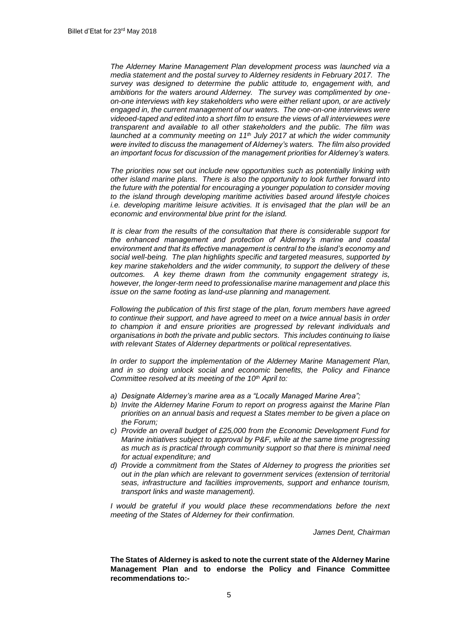*The Alderney Marine Management Plan development process was launched via a media statement and the postal survey to Alderney residents in February 2017. The survey was designed to determine the public attitude to, engagement with, and ambitions for the waters around Alderney. The survey was complimented by oneon-one interviews with key stakeholders who were either reliant upon, or are actively engaged in, the current management of our waters. The one-on-one interviews were videoed-taped and edited into a short film to ensure the views of all interviewees were transparent and available to all other stakeholders and the public. The film was launched at a community meeting on 11th July 2017 at which the wider community were invited to discuss the management of Alderney's waters. The film also provided an important focus for discussion of the management priorities for Alderney's waters.*

*The priorities now set out include new opportunities such as potentially linking with other island marine plans. There is also the opportunity to look further forward into the future with the potential for encouraging a younger population to consider moving to the island through developing maritime activities based around lifestyle choices i.e. developing maritime leisure activities. It is envisaged that the plan will be an economic and environmental blue print for the island.* 

*It is clear from the results of the consultation that there is considerable support for the enhanced management and protection of Alderney's marine and coastal environment and that its effective management is central to the island's economy and social well-being. The plan highlights specific and targeted measures, supported by key marine stakeholders and the wider community, to support the delivery of these outcomes. A key theme drawn from the community engagement strategy is, however, the longer-term need to professionalise marine management and place this issue on the same footing as land-use planning and management.*

*Following the publication of this first stage of the plan, forum members have agreed to continue their support, and have agreed to meet on a twice annual basis in order to champion it and ensure priorities are progressed by relevant individuals and organisations in both the private and public sectors. This includes continuing to liaise with relevant States of Alderney departments or political representatives.* 

*In order to support the implementation of the Alderney Marine Management Plan, and in so doing unlock social and economic benefits, the Policy and Finance Committee resolved at its meeting of the 10th April to:*

- *a) Designate Alderney's marine area as a "Locally Managed Marine Area";*
- *b) Invite the Alderney Marine Forum to report on progress against the Marine Plan priorities on an annual basis and request a States member to be given a place on the Forum;*
- *c) Provide an overall budget of £25,000 from the Economic Development Fund for Marine initiatives subject to approval by P&F, while at the same time progressing as much as is practical through community support so that there is minimal need for actual expenditure; and*
- *d) Provide a commitment from the States of Alderney to progress the priorities set out in the plan which are relevant to government services (extension of territorial seas, infrastructure and facilities improvements, support and enhance tourism, transport links and waste management).*

*I* would be grateful if you would place these recommendations before the next *meeting of the States of Alderney for their confirmation.*

*James Dent, Chairman*

**The States of Alderney is asked to note the current state of the Alderney Marine Management Plan and to endorse the Policy and Finance Committee recommendations to:-**